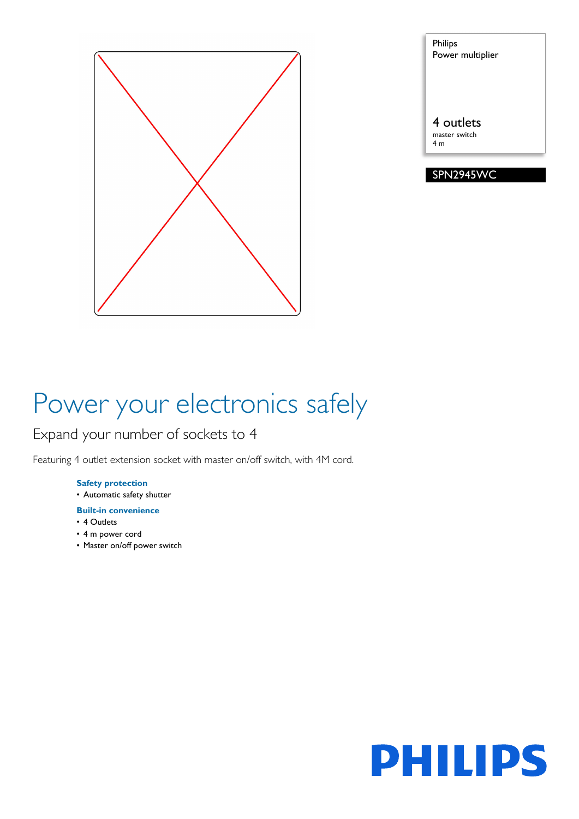

Philips Power multiplier

4 outlets master switch 4 m

#### SPN2945WC

# Power your electronics safely

### Expand your number of sockets to 4

Featuring 4 outlet extension socket with master on/off switch, with 4M cord.

#### **Safety protection**

• Automatic safety shutter

#### **Built-in convenience**

- 4 Outlets
- 4 m power cord
- Master on/off power switch